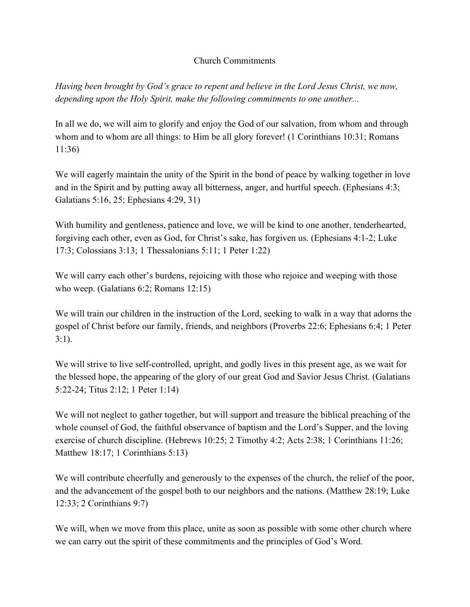## Church Commitments

*Having been brought by God's grace to repent and believe in the Lord Jesus Christ, we now, depending upon the Holy Spirit, make the following commitments to one another...*

In all we do, we will aim to glorify and enjoy the God of our salvation, from whom and through whom and to whom are all things: to Him be all glory forever! (1 Corinthians 10:31; Romans 11:36)

We will eagerly maintain the unity of the Spirit in the bond of peace by walking together in love and in the Spirit and by putting away all bitterness, anger, and hurtful speech. (Ephesians 4:3; Galatians 5:16, 25; Ephesians 4:29, 31)

With humility and gentleness, patience and love, we will be kind to one another, tenderhearted, forgiving each other, even as God, for Christ's sake, has forgiven us. (Ephesians 4:1-2; Luke 17:3; Colossians 3:13; 1 Thessalonians 5:11; 1 Peter 1:22)

We will carry each other's burdens, rejoicing with those who rejoice and weeping with those who weep. (Galatians 6:2; Romans 12:15)

We will train our children in the instruction of the Lord, seeking to walk in a way that adorns the gospel of Christ before our family, friends, and neighbors (Proverbs 22:6; Ephesians 6:4; 1 Peter 3:1).

We will strive to live self-controlled, upright, and godly lives in this present age, as we wait for the blessed hope, the appearing of the glory of our great God and Savior Jesus Christ. (Galatians 5:22-24; Titus 2:12; 1 Peter 1:14)

We will not neglect to gather together, but will support and treasure the biblical preaching of the whole counsel of God, the faithful observance of baptism and the Lord's Supper, and the loving exercise of church discipline. (Hebrews 10:25; 2 Timothy 4:2; Acts 2:38; 1 Corinthians 11:26; Matthew 18:17; 1 Corinthians 5:13)

We will contribute cheerfully and generously to the expenses of the church, the relief of the poor, and the advancement of the gospel both to our neighbors and the nations. (Matthew 28:19; Luke 12:33; 2 Corinthians 9:7)

We will, when we move from this place, unite as soon as possible with some other church where we can carry out the spirit of these commitments and the principles of God's Word.